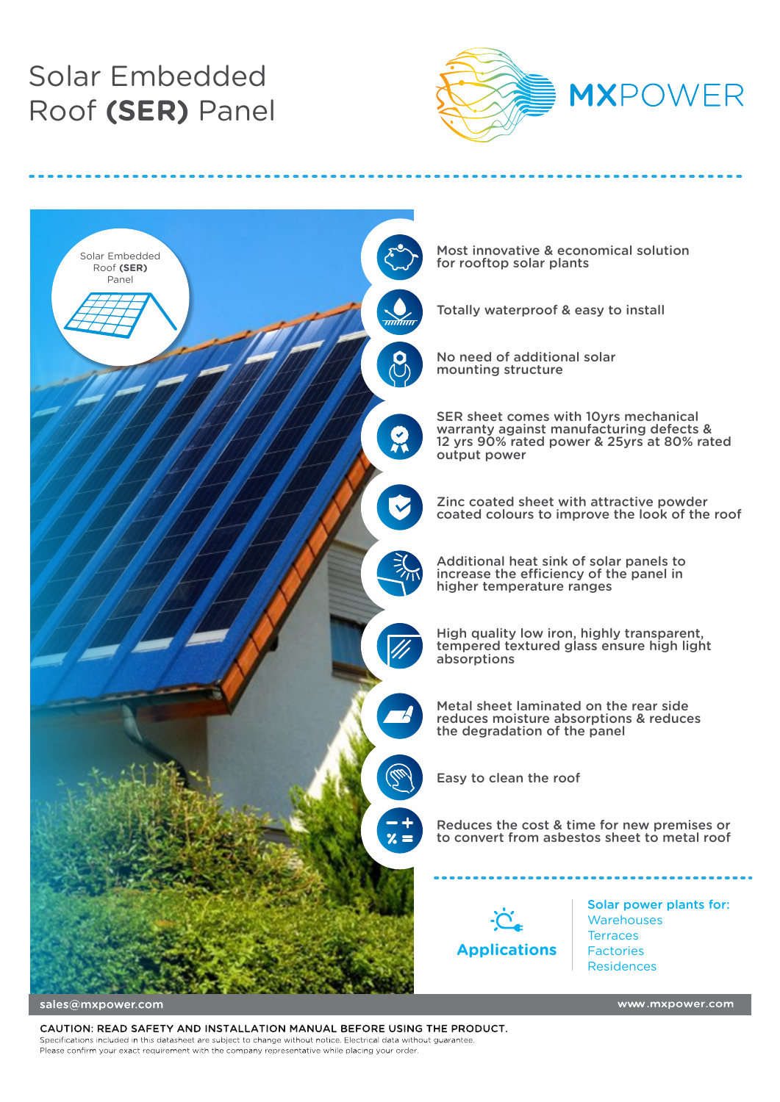# Solar Embedded Roof **(SER)** Panel





sales@mxpower.com

CAUTION: READ SAFETY AND INSTALLATION MANUAL BEFORE USING THE PRODUCT. Specifications included in this datasheet are subject to change without notice. Electrical data without guarantee. Please confirm your exact requirement with the company representative while placing your order.

www.mxpower.com